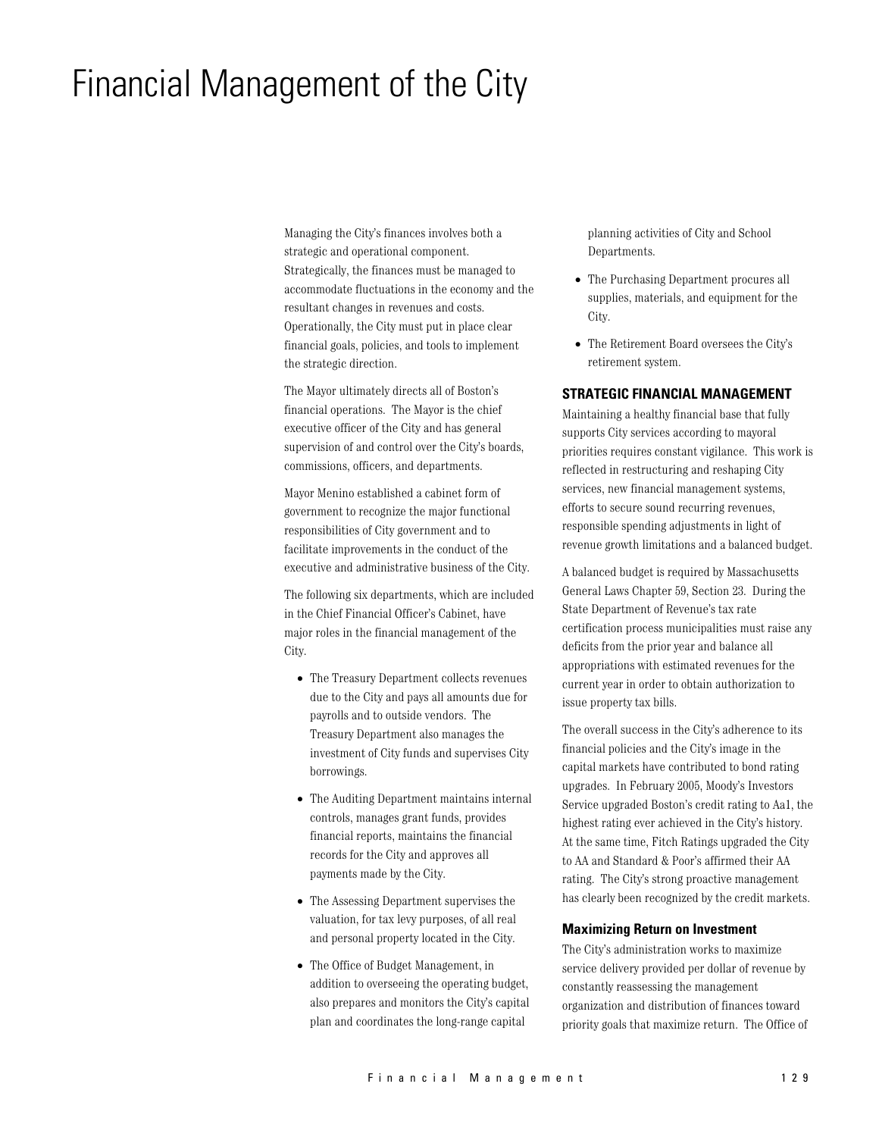# Financial Management of the City

Managing the City's finances involves both a strategic and operational component. Strategically, the finances must be managed to accommodate fluctuations in the economy and the resultant changes in revenues and costs. Operationally, the City must put in place clear financial goals, policies, and tools to implement the strategic direction.

The Mayor ultimately directs all of Boston's financial operations. The Mayor is the chief executive officer of the City and has general supervision of and control over the City's boards, commissions, officers, and departments.

Mayor Menino established a cabinet form of government to recognize the major functional responsibilities of City government and to facilitate improvements in the conduct of the executive and administrative business of the City.

The following six departments, which are included in the Chief Financial Officer's Cabinet, have major roles in the financial management of the City.

- The Treasury Department collects revenues due to the City and pays all amounts due for payrolls and to outside vendors. The Treasury Department also manages the investment of City funds and supervises City borrowings.
- The Auditing Department maintains internal controls, manages grant funds, provides financial reports, maintains the financial records for the City and approves all payments made by the City.
- The Assessing Department supervises the valuation, for tax levy purposes, of all real and personal property located in the City.
- The Office of Budget Management, in addition to overseeing the operating budget, also prepares and monitors the City's capital plan and coordinates the long-range capital

planning activities of City and School Departments.

- The Purchasing Department procures all supplies, materials, and equipment for the City.
- The Retirement Board oversees the City's retirement system.

## **STRATEGIC FINANCIAL MANAGEMENT**

Maintaining a healthy financial base that fully supports City services according to mayoral priorities requires constant vigilance. This work is reflected in restructuring and reshaping City services, new financial management systems, efforts to secure sound recurring revenues. responsible spending adjustments in light of revenue growth limitations and a balanced budget.

A balanced budget is required by Massachusetts General Laws Chapter 59, Section 23. During the State Department of Revenue's tax rate certification process municipalities must raise any deficits from the prior year and balance all appropriations with estimated revenues for the current year in order to obtain authorization to issue property tax bills.

The overall success in the City's adherence to its financial policies and the City's image in the capital markets have contributed to bond rating upgrades. In February 2005, Moody's Investors Service upgraded Boston's credit rating to Aa1, the highest rating ever achieved in the City's history. At the same time, Fitch Ratings upgraded the City to AA and Standard & Poor's affirmed their AA rating. The City's strong proactive management has clearly been recognized by the credit markets.

#### **Maximizing Return on Investment**

The City's administration works to maximize service delivery provided per dollar of revenue by constantly reassessing the management organization and distribution of finances toward priority goals that maximize return. The Office of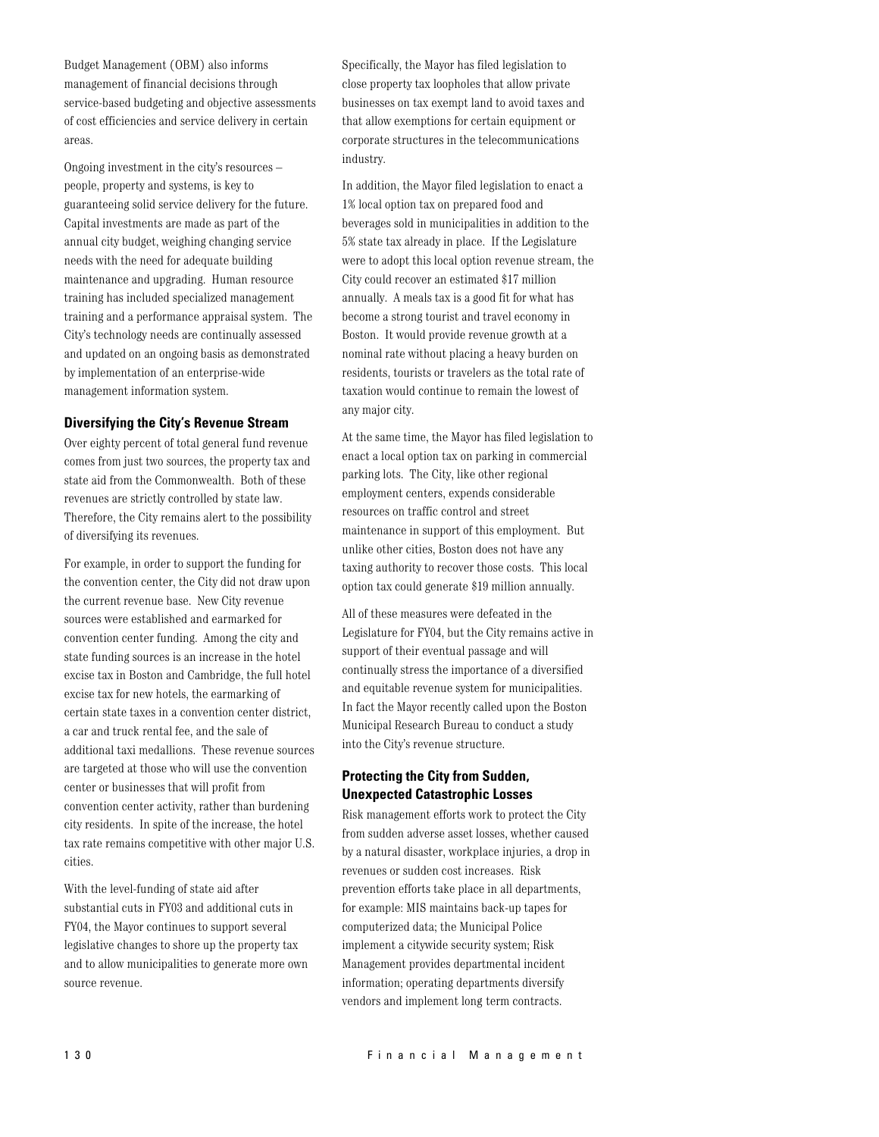Budget Management (OBM) also informs management of financial decisions through service-based budgeting and objective assessments of cost efficiencies and service delivery in certain areas.

Ongoing investment in the city's resources people, property and systems, is key to guaranteeing solid service delivery for the future. Capital investments are made as part of the annual city budget, weighing changing service needs with the need for adequate building maintenance and upgrading. Human resource training has included specialized management training and a performance appraisal system. The City's technology needs are continually assessed and updated on an ongoing basis as demonstrated by implementation of an enterprise-wide management information system.

#### **Diversifying the City's Revenue Stream**

Over eighty percent of total general fund revenue comes from just two sources, the property tax and state aid from the Commonwealth. Both of these revenues are strictly controlled by state law. Therefore, the City remains alert to the possibility of diversifying its revenues.

For example, in order to support the funding for the convention center, the City did not draw upon the current revenue base. New City revenue sources were established and earmarked for convention center funding. Among the city and state funding sources is an increase in the hotel excise tax in Boston and Cambridge, the full hotel excise tax for new hotels, the earmarking of certain state taxes in a convention center district, a car and truck rental fee, and the sale of additional taxi medallions. These revenue sources are targeted at those who will use the convention center or businesses that will profit from convention center activity, rather than burdening city residents. In spite of the increase, the hotel tax rate remains competitive with other major U.S. cities.

With the level-funding of state aid after substantial cuts in FY03 and additional cuts in FY04, the Mayor continues to support several legislative changes to shore up the property tax and to allow municipalities to generate more own source revenue.

Specifically, the Mayor has filed legislation to close property tax loopholes that allow private businesses on tax exempt land to avoid taxes and that allow exemptions for certain equipment or corporate structures in the telecommunications industry.

In addition, the Mayor filed legislation to enact a 1% local option tax on prepared food and beverages sold in municipalities in addition to the 5% state tax already in place. If the Legislature were to adopt this local option revenue stream, the City could recover an estimated \$17 million annually. A meals tax is a good fit for what has become a strong tourist and travel economy in Boston. It would provide revenue growth at a nominal rate without placing a heavy burden on residents, tourists or travelers as the total rate of taxation would continue to remain the lowest of any major city.

At the same time, the Mayor has filed legislation to enact a local option tax on parking in commercial parking lots. The City, like other regional employment centers, expends considerable resources on traffic control and street maintenance in support of this employment. But unlike other cities, Boston does not have any taxing authority to recover those costs. This local option tax could generate \$19 million annually.

All of these measures were defeated in the Legislature for FY04, but the City remains active in support of their eventual passage and will continually stress the importance of a diversified and equitable revenue system for municipalities. In fact the Mayor recently called upon the Boston Municipal Research Bureau to conduct a study into the City's revenue structure.

## **Protecting the City from Sudden, Unexpected Catastrophic Losses**

Risk management efforts work to protect the City from sudden adverse asset losses, whether caused by a natural disaster, workplace injuries, a drop in revenues or sudden cost increases. Risk prevention efforts take place in all departments, for example: MIS maintains back-up tapes for computerized data; the Municipal Police implement a citywide security system; Risk Management provides departmental incident information; operating departments diversify vendors and implement long term contracts.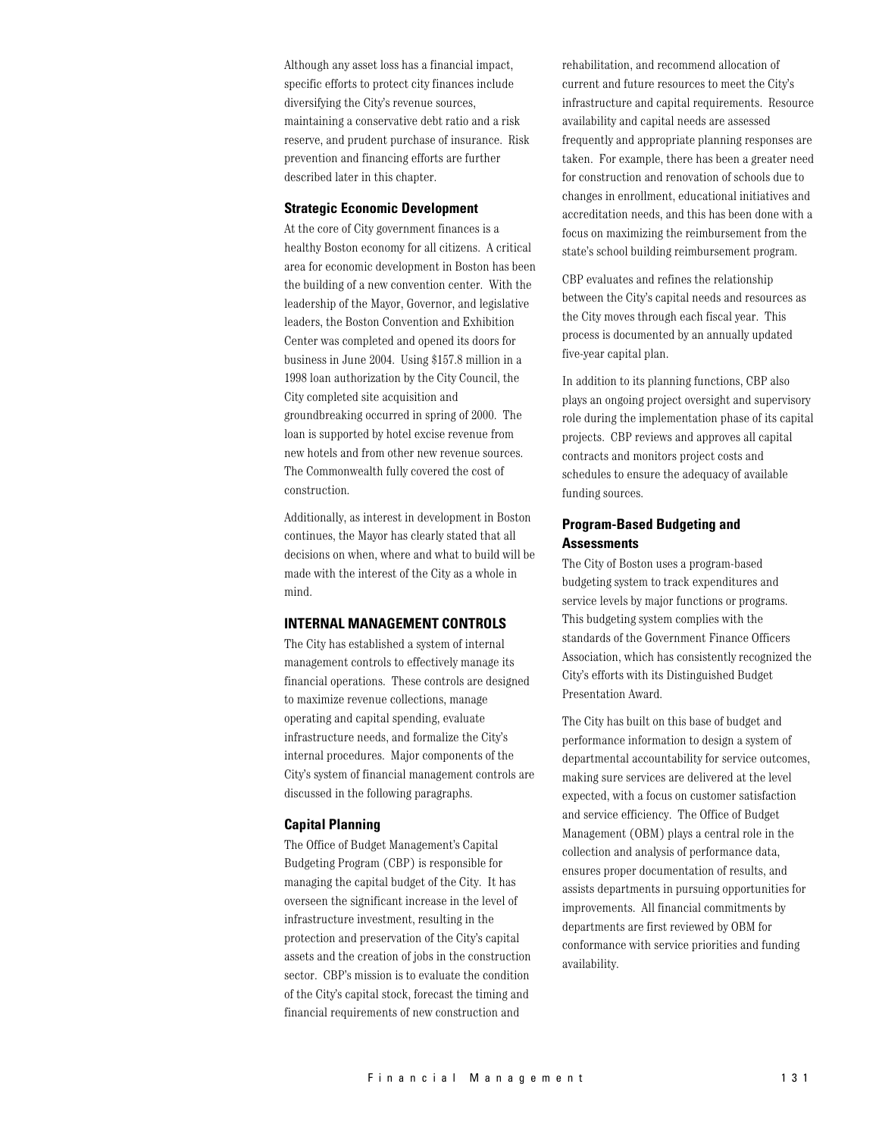Although any asset loss has a financial impact, specific efforts to protect city finances include diversifying the City's revenue sources, maintaining a conservative debt ratio and a risk reserve, and prudent purchase of insurance. Risk prevention and financing efforts are further described later in this chapter.

#### **Strategic Economic Development**

At the core of City government finances is a healthy Boston economy for all citizens. A critical area for economic development in Boston has been the building of a new convention center. With the leadership of the Mayor, Governor, and legislative leaders, the Boston Convention and Exhibition Center was completed and opened its doors for business in June 2004. Using \$157.8 million in a 1998 loan authorization by the City Council, the City completed site acquisition and groundbreaking occurred in spring of 2000. The loan is supported by hotel excise revenue from new hotels and from other new revenue sources. The Commonwealth fully covered the cost of construction.

Additionally, as interest in development in Boston continues, the Mayor has clearly stated that all decisions on when, where and what to build will be made with the interest of the City as a whole in mind.

## **INTERNAL MANAGEMENT CONTROLS**

The City has established a system of internal management controls to effectively manage its financial operations. These controls are designed to maximize revenue collections, manage operating and capital spending, evaluate infrastructure needs, and formalize the City's internal procedures. Major components of the City's system of financial management controls are discussed in the following paragraphs.

#### **Capital Planning**

The Office of Budget Management's Capital Budgeting Program (CBP) is responsible for managing the capital budget of the City. It has overseen the significant increase in the level of infrastructure investment, resulting in the protection and preservation of the City's capital assets and the creation of jobs in the construction sector. CBP's mission is to evaluate the condition of the City's capital stock, forecast the timing and financial requirements of new construction and

rehabilitation, and recommend allocation of current and future resources to meet the City's infrastructure and capital requirements. Resource availability and capital needs are assessed frequently and appropriate planning responses are taken. For example, there has been a greater need for construction and renovation of schools due to changes in enrollment, educational initiatives and accreditation needs, and this has been done with a focus on maximizing the reimbursement from the state's school building reimbursement program.

CBP evaluates and refines the relationship between the City's capital needs and resources as the City moves through each fiscal year. This process is documented by an annually updated five-year capital plan.

In addition to its planning functions, CBP also plays an ongoing project oversight and supervisory role during the implementation phase of its capital projects. CBP reviews and approves all capital contracts and monitors project costs and schedules to ensure the adequacy of available funding sources.

## **Program-Based Budgeting and Assessments**

The City of Boston uses a program-based budgeting system to track expenditures and service levels by major functions or programs. This budgeting system complies with the standards of the Government Finance Officers Association, which has consistently recognized the City's efforts with its Distinguished Budget Presentation Award.

The City has built on this base of budget and performance information to design a system of departmental accountability for service outcomes, making sure services are delivered at the level expected, with a focus on customer satisfaction and service efficiency. The Office of Budget Management (OBM) plays a central role in the collection and analysis of performance data, ensures proper documentation of results, and assists departments in pursuing opportunities for improvements. All financial commitments by departments are first reviewed by OBM for conformance with service priorities and funding availability.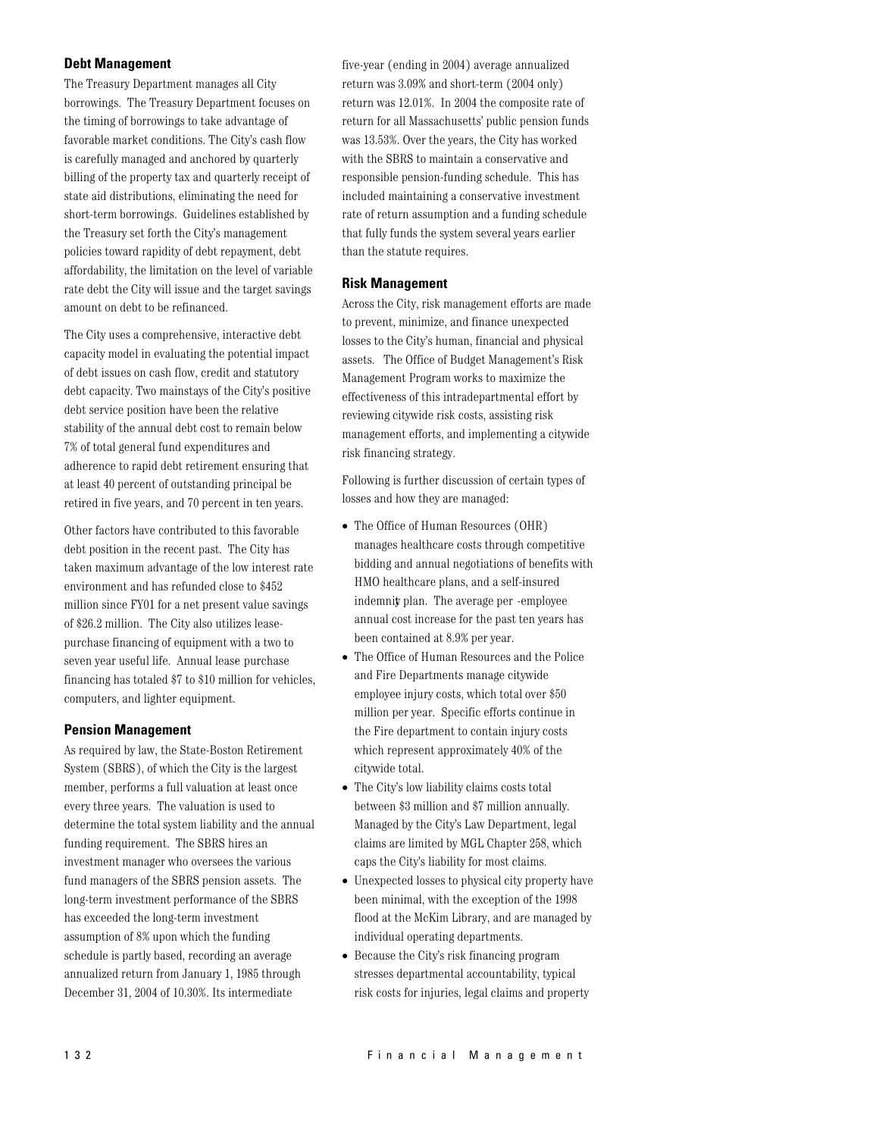## **Debt Management**

The Treasury Department manages all City borrowings. The Treasury Department focuses on the timing of borrowings to take advantage of favorable market conditions. The City's cash flow is carefully managed and anchored by quarterly billing of the property tax and quarterly receipt of state aid distributions, eliminating the need for short-term borrowings. Guidelines established by the Treasury set forth the City's management policies toward rapidity of debt repayment, debt affordability, the limitation on the level of variable rate debt the City will issue and the target savings amount on debt to be refinanced.

The City uses a comprehensive, interactive debt capacity model in evaluating the potential impact of debt issues on cash flow, credit and statutory debt capacity. Two mainstays of the City's positive debt service position have been the relative stability of the annual debt cost to remain below 7% of total general fund expenditures and adherence to rapid debt retirement ensuring that at least 40 percent of outstanding principal be retired in five years, and 70 percent in ten years.

Other factors have contributed to this favorable debt position in the recent past. The City has taken maximum advantage of the low interest rate environment and has refunded close to \$452 million since FY01 for a net present value savings of \$26.2 million. The City also utilizes leasepurchase financing of equipment with a two to seven year useful life. Annual lease purchase financing has totaled \$7 to \$10 million for vehicles, computers, and lighter equipment.

## **Pension Management**

As required by law, the State-Boston Retirement System (SBRS), of which the City is the largest member, performs a full valuation at least once every three years. The valuation is used to determine the total system liability and the annual funding requirement. The SBRS hires an investment manager who oversees the various fund managers of the SBRS pension assets. The long-term investment performance of the SBRS has exceeded the long-term investment assumption of 8% upon which the funding schedule is partly based, recording an average annualized return from January 1, 1985 through December 31, 2004 of 10.30%. Its intermediate

five-year (ending in 2004) average annualized return was 3.09% and short-term (2004 only) return was 12.01%. In 2004 the composite rate of return for all Massachusetts' public pension funds was 13.53%. Over the years, the City has worked with the SBRS to maintain a conservative and responsible pension-funding schedule. This has included maintaining a conservative investment rate of return assumption and a funding schedule that fully funds the system several years earlier than the statute requires.

## **Risk Management**

Across the City, risk management efforts are made to prevent, minimize, and finance unexpected losses to the City's human, financial and physical assets. The Office of Budget Management's Risk Management Program works to maximize the effectiveness of this intradepartmental effort by reviewing citywide risk costs, assisting risk management efforts, and implementing a citywide risk financing strategy.

Following is further discussion of certain types of losses and how they are managed:

- The Office of Human Resources (OHR) manages healthcare costs through competitive bidding and annual negotiations of benefits with HMO healthcare plans, and a self-insured indemnit plan. The average per -employee annual cost increase for the past ten years has been contained at 8.9% per year.
- $\bullet~$  The Office of Human Resources and the Police and Fire Departments manage citywide employee injury costs, which total over \$50 million per year. Specific efforts continue in the Fire department to contain injury costs which represent approximately 40% of the citywide total.
- The City's low liability claims costs total between \$3 million and \$7 million annually. Managed by the City's Law Department, legal claims are limited by MGL Chapter 258, which caps the City's liability for most claims.
- Unexpected losses to physical city property have been minimal, with the exception of the 1998 flood at the McKim Library, and are managed by individual operating departments.
- $\bullet$  Because the City's risk financing program stresses departmental accountability, typical risk costs for injuries, legal claims and property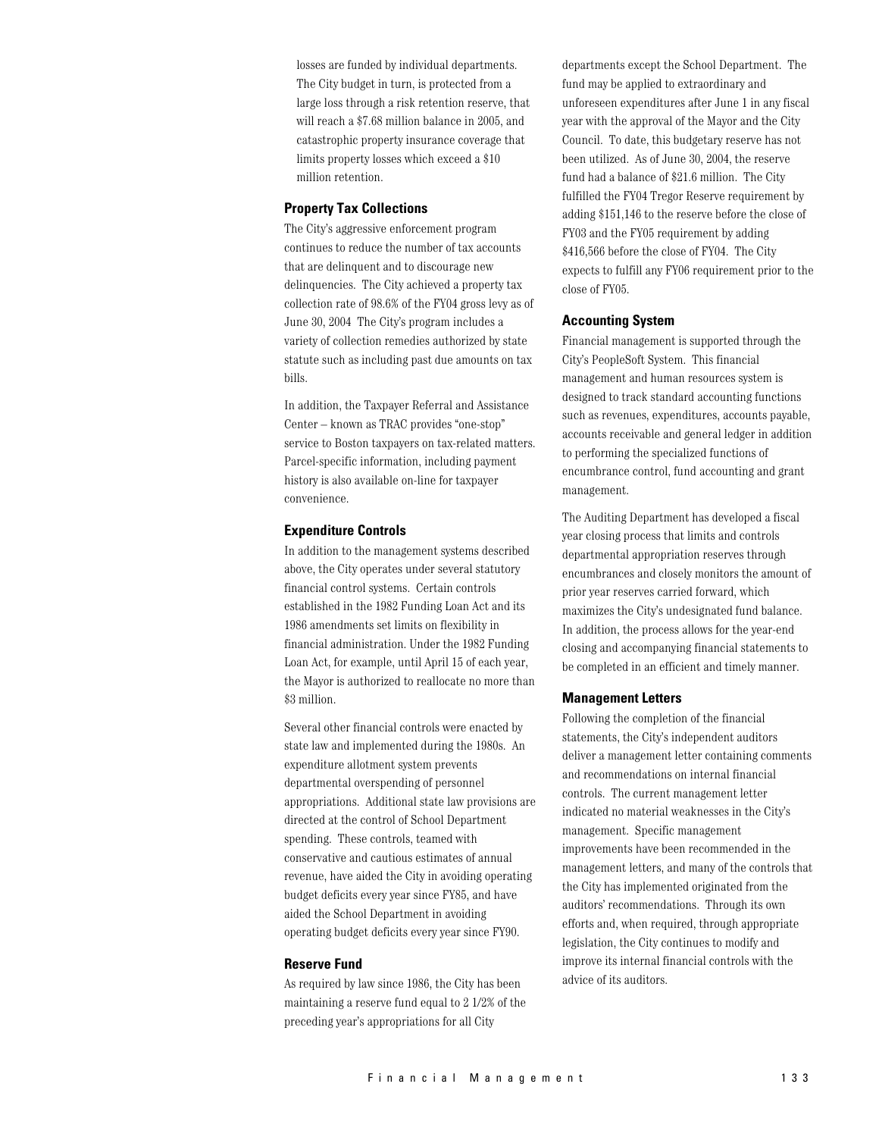losses are funded by individual departments. The City budget in turn, is protected from a large loss through a risk retention reserve, that will reach a \$7.68 million balance in 2005, and catastrophic property insurance coverage that limits property losses which exceed a \$10 million retention.

#### **Property Tax Collections**

The City's aggressive enforcement program continues to reduce the number of tax accounts that are delinquent and to discourage new delinquencies. The City achieved a property tax collection rate of 98.6% of the FY04 gross levy as of June 30, 2004 The City's program includes a variety of collection remedies authorized by state statute such as including past due amounts on tax bills.

In addition, the Taxpayer Referral and Assistance Center - known as TRAC provides "one-stop" service to Boston taxpayers on tax-related matters. Parcel-specific information, including payment history is also available on-line for taxpayer convenience.

#### **Expenditure Controls**

In addition to the management systems described above, the City operates under several statutory financial control systems. Certain controls established in the 1982 Funding Loan Act and its 1986 amendments set limits on flexibility in financial administration. Under the 1982 Funding Loan Act, for example, until April 15 of each year, the Mayor is authorized to reallocate no more than \$3 million.

Several other financial controls were enacted by state law and implemented during the 1980s. An expenditure allotment system prevents departmental overspending of personnel appropriations. Additional state law provisions are directed at the control of School Department spending. These controls, teamed with conservative and cautious estimates of annual revenue, have aided the City in avoiding operating budget deficits every year since FY85, and have aided the School Department in avoiding operating budget deficits every year since FY90.

#### **Reserve Fund**

As required by law since 1986, the City has been maintaining a reserve fund equal to 2 1/2% of the preceding year's appropriations for all City

departments except the School Department. The fund may be applied to extraordinary and unforeseen expenditures after June 1 in any fiscal year with the approval of the Mayor and the City Council. To date, this budgetary reserve has not been utilized. As of June 30, 2004, the reserve fund had a balance of \$21.6 million. The City fulfilled the FY04 Tregor Reserve requirement by adding \$151,146 to the reserve before the close of FY03 and the FY05 requirement by adding \$416,566 before the close of FY04. The City expects to fulfill any FY06 requirement prior to the close of FY05.

#### **Accounting System**

Financial management is supported through the City's PeopleSoft System. This financial management and human resources system is designed to track standard accounting functions such as revenues, expenditures, accounts payable, accounts receivable and general ledger in addition to performing the specialized functions of encumbrance control, fund accounting and grant management.

The Auditing Department has developed a fiscal year closing process that limits and controls departmental appropriation reserves through encumbrances and closely monitors the amount of prior year reserves carried forward, which maximizes the City's undesignated fund balance. In addition, the process allows for the year-end closing and accompanying financial statements to be completed in an efficient and timely manner.

#### **Management Letters**

Following the completion of the financial statements, the City's independent auditors deliver a management letter containing comments and recommendations on internal financial controls. The current management letter indicated no material weaknesses in the City's management. Specific management improvements have been recommended in the management letters, and many of the controls that the City has implemented originated from the auditors' recommendations. Through its own efforts and, when required, through appropriate legislation, the City continues to modify and improve its internal financial controls with the advice of its auditors.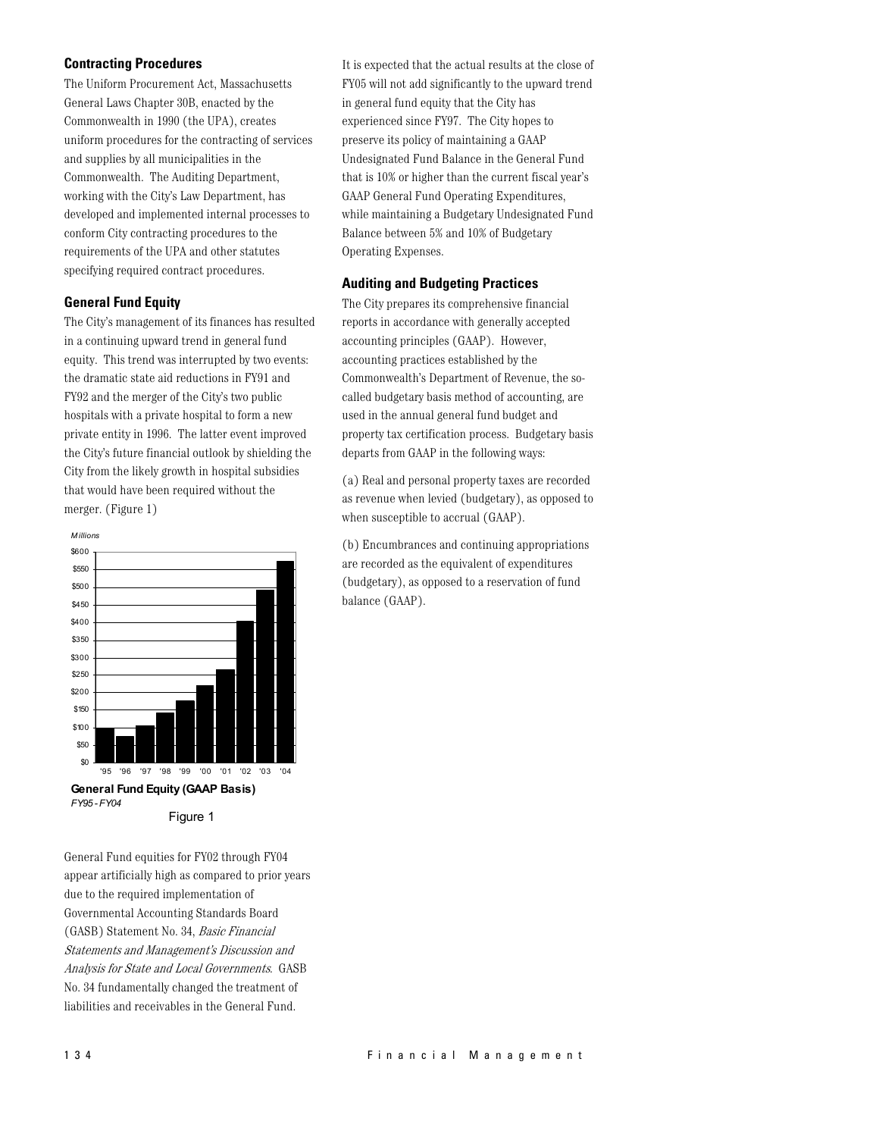## **Contracting Procedures**

The Uniform Procurement Act, Massachusetts General Laws Chapter 30B, enacted by the Commonwealth in 1990 (the UPA), creates uniform procedures for the contracting of services and supplies by all municipalities in the Commonwealth. The Auditing Department, working with the City's Law Department, has developed and implemented internal processes to conform City contracting procedures to the requirements of the UPA and other statutes specifying required contract procedures.

## **General Fund Equity**

The City's management of its finances has resulted in a continuing upward trend in general fund equity. This trend was interrupted by two events: the dramatic state aid reductions in FY91 and FY92 and the merger of the City's two public hospitals with a private hospital to form a new private entity in 1996. The latter event improved the City's future financial outlook by shielding the City from the likely growth in hospital subsidies that would have been required without the merger. (Figure 1)



General Fund equities for FY02 through FY04 appear artificially high as compared to prior years due to the required implementation of Governmental Accounting Standards Board (GASB) Statement No. 34, Basic Financial Statements and Management's Discussion and Analysis for State and Local Governments. GASB No. 34 fundamentally changed the treatment of liabilities and receivables in the General Fund.

It is expected that the actual results at the close of FY05 will not add significantly to the upward trend in general fund equity that the City has experienced since FY97. The City hopes to preserve its policy of maintaining a GAAP Undesignated Fund Balance in the General Fund that is 10% or higher than the current fiscal year's GAAP General Fund Operating Expenditures, while maintaining a Budgetary Undesignated Fund Balance between 5% and 10% of Budgetary Operating Expenses.

## **Auditing and Budgeting Practices**

The City prepares its comprehensive financial reports in accordance with generally accepted accounting principles (GAAP). However, accounting practices established by the Commonwealth's Department of Revenue, the socalled budgetary basis method of accounting, are used in the annual general fund budget and property tax certification process. Budgetary basis departs from GAAP in the following ways:

(a) Real and personal property taxes are recorded as revenue when levied (budgetary), as opposed to when susceptible to accrual (GAAP).

(b) Encumbrances and continuing appropriations are recorded as the equivalent of expenditures (budgetary), as opposed to a reservation of fund balance (GAAP).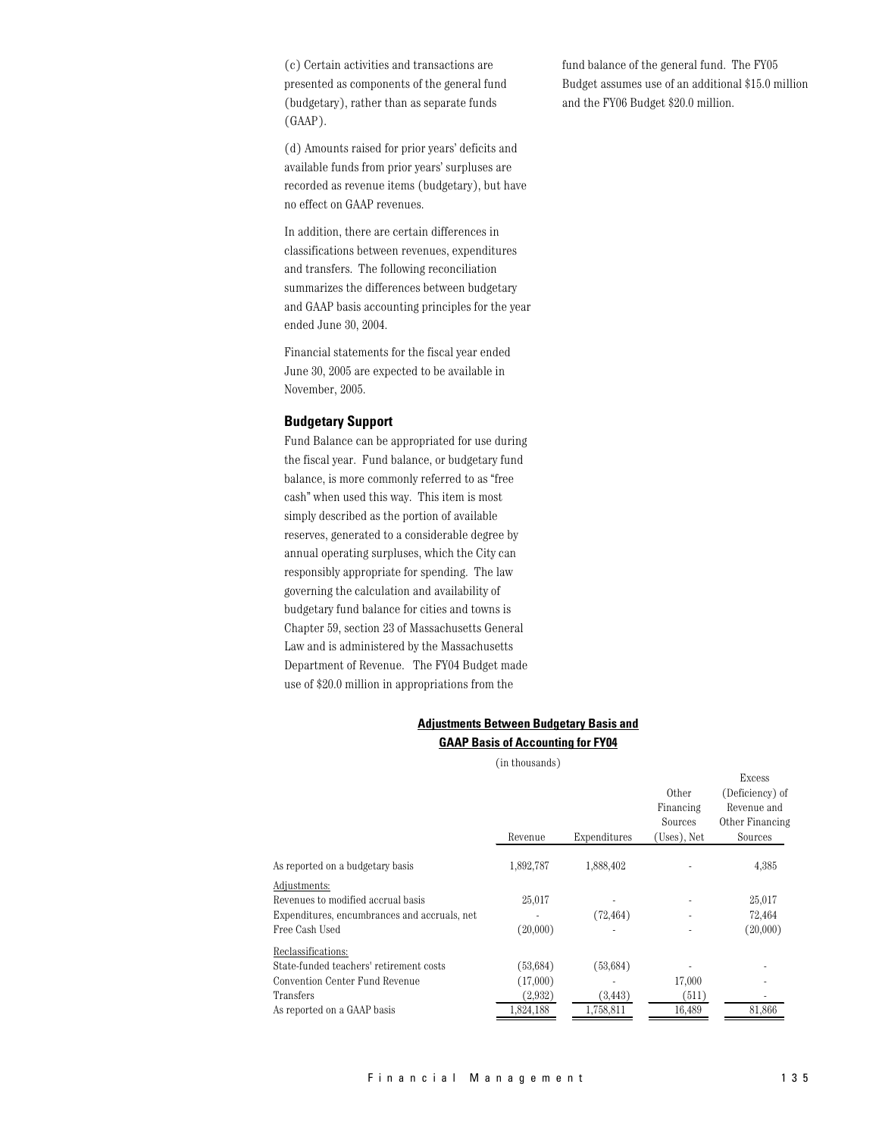(c) Certain activities and transactions are presented as components of the general fund (budgetary), rather than as separate funds  $(GAAP)$ .

(d) Amounts raised for prior years' deficits and available funds from prior years' surpluses are recorded as revenue items (budgetary), but have no effect on GAAP revenues.

In addition, there are certain differences in classifications between revenues, expenditures and transfers. The following reconciliation summarizes the differences between budgetary and GAAP basis accounting principles for the year ended June 30, 2004.

Financial statements for the fiscal year ended June 30, 2005 are expected to be available in November, 2005.

#### **Budgetary Support**

Fund Balance can be appropriated for use during the fiscal year. Fund balance, or budgetary fund balance, is more commonly referred to as "free cash" when used this way. This item is most simply described as the portion of available reserves, generated to a considerable degree by annual operating surpluses, which the City can responsibly appropriate for spending. The law governing the calculation and availability of budgetary fund balance for cities and towns is Chapter 59, section 23 of Massachusetts General Law and is administered by the Massachusetts Department of Revenue. The FY04 Budget made use of \$20.0 million in appropriations from the

## **Adjustments Between Budgetary Basis and GAAP Basis of Accounting for FY04**

(in thousands)

|                                              | Revenue   | Expenditures | Other<br>Financing<br>Sources<br>(Uses), Net | Excess<br>(Deficiency) of<br>Revenue and<br>Other Financing<br>Sources |
|----------------------------------------------|-----------|--------------|----------------------------------------------|------------------------------------------------------------------------|
| As reported on a budgetary basis             | 1,892,787 | 1,888,402    |                                              | 4,385                                                                  |
| Adjustments:                                 |           |              |                                              |                                                                        |
| Revenues to modified accrual basis           | 25,017    |              |                                              | 25,017                                                                 |
| Expenditures, encumbrances and accruals, net |           | (72, 464)    |                                              | 72,464                                                                 |
| Free Cash Used                               | (20,000)  |              |                                              | (20,000)                                                               |
| Reclassifications:                           |           |              |                                              |                                                                        |
| State-funded teachers' retirement costs      | (53, 684) | (53, 684)    |                                              |                                                                        |
| Convention Center Fund Revenue               | (17,000)  |              | 17,000                                       |                                                                        |
| Transfers                                    | (2,932)   | (3, 443)     | (511)                                        |                                                                        |
| As reported on a GAAP basis                  | 1,824,188 | 1,758,811    | 16,489                                       | 81,866                                                                 |
|                                              |           |              |                                              |                                                                        |

fund balance of the general fund. The FY05 Budget assumes use of an additional \$15.0 million and the FY06 Budget \$20.0 million.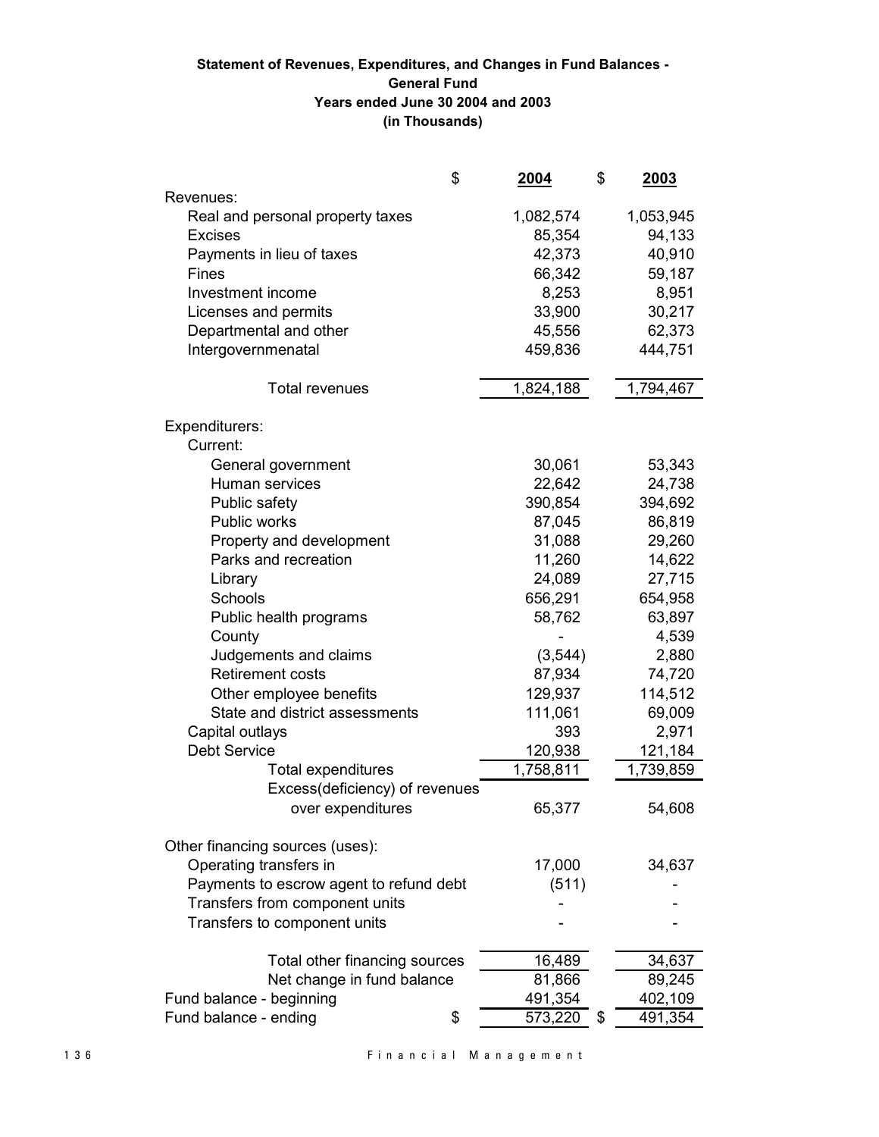## Statement of Revenues, Expenditures, and Changes in Fund Balances -**General Fund** Years ended June 30 2004 and 2003 (in Thousands)

| \$                                      | <u>2004</u>            | \$       | 2003      |
|-----------------------------------------|------------------------|----------|-----------|
| Revenues:                               |                        |          |           |
| Real and personal property taxes        | 1,082,574              |          | 1,053,945 |
| <b>Excises</b>                          | 85,354                 |          | 94,133    |
| Payments in lieu of taxes               | 42,373                 |          | 40,910    |
| Fines                                   | 66,342                 |          | 59,187    |
| Investment income                       |                        | 8,253    | 8,951     |
| Licenses and permits                    | 33,900                 |          | 30,217    |
| Departmental and other                  | 45,556                 |          | 62,373    |
| Intergovernmenatal                      | 459,836                |          | 444,751   |
|                                         |                        |          |           |
| <b>Total revenues</b>                   | 1,824,188              |          | 1,794,467 |
| Expenditurers:                          |                        |          |           |
| Current:                                |                        |          |           |
| General government                      | 30,061                 |          | 53,343    |
| Human services                          | 22,642                 |          | 24,738    |
| Public safety                           | 390,854                |          | 394,692   |
| Public works                            | 87,045                 |          | 86,819    |
| Property and development                | 31,088                 |          | 29,260    |
| Parks and recreation                    | 11,260                 |          | 14,622    |
| Library                                 | 24,089                 |          | 27,715    |
| Schools                                 | 656,291                |          | 654,958   |
| Public health programs                  | 58,762                 |          | 63,897    |
| County                                  |                        |          | 4,539     |
| Judgements and claims                   |                        | (3, 544) | 2,880     |
| <b>Retirement costs</b>                 | 87,934                 |          | 74,720    |
| Other employee benefits                 | 129,937                |          | 114,512   |
| State and district assessments          | 111,061                |          | 69,009    |
| Capital outlays                         |                        | 393      | 2,971     |
| <b>Debt Service</b>                     | 120,938                |          | 121,184   |
| <b>Total expenditures</b>               | $\overline{1,}758,811$ |          | 1,739,859 |
| Excess(deficiency) of revenues          |                        |          |           |
| over expenditures                       | 65,377                 |          | 54,608    |
|                                         |                        |          |           |
| Other financing sources (uses):         |                        |          |           |
| Operating transfers in                  | 17,000                 |          | 34,637    |
| Payments to escrow agent to refund debt |                        | (511)    |           |
| Transfers from component units          |                        |          |           |
| Transfers to component units            |                        |          |           |
|                                         |                        |          |           |
| Total other financing sources           | 16,489                 |          | 34,637    |
| Net change in fund balance              | 81,866                 |          | 89,245    |
| Fund balance - beginning                | 491,354                |          | 402,109   |
| Fund balance - ending<br>\$             | 573,220                | \$       | 491,354   |